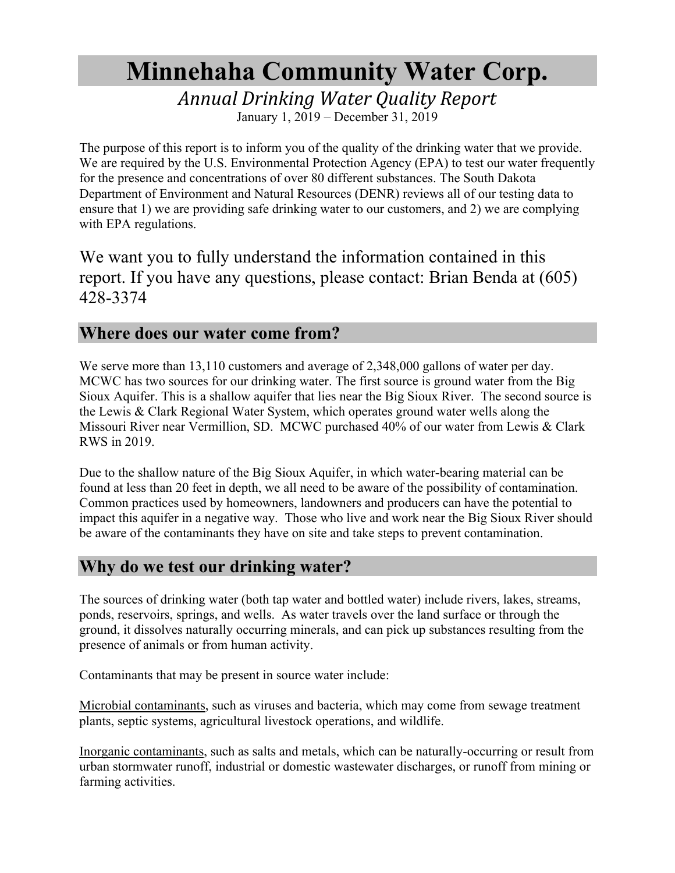# **Minnehaha Community Water Corp.**

*Annual Drinking Water Quality Report*

January 1, 2019 – December 31, 2019

The purpose of this report is to inform you of the quality of the drinking water that we provide. We are required by the U.S. Environmental Protection Agency (EPA) to test our water frequently for the presence and concentrations of over 80 different substances. The South Dakota Department of Environment and Natural Resources (DENR) reviews all of our testing data to ensure that 1) we are providing safe drinking water to our customers, and 2) we are complying with EPA regulations.

We want you to fully understand the information contained in this report. If you have any questions, please contact: Brian Benda at (605) 428-3374

#### **Where does our water come from?**

We serve more than 13,110 customers and average of 2,348,000 gallons of water per day. MCWC has two sources for our drinking water. The first source is ground water from the Big Sioux Aquifer. This is a shallow aquifer that lies near the Big Sioux River. The second source is the Lewis & Clark Regional Water System, which operates ground water wells along the Missouri River near Vermillion, SD. MCWC purchased 40% of our water from Lewis & Clark RWS in 2019.

Due to the shallow nature of the Big Sioux Aquifer, in which water-bearing material can be found at less than 20 feet in depth, we all need to be aware of the possibility of contamination. Common practices used by homeowners, landowners and producers can have the potential to impact this aquifer in a negative way. Those who live and work near the Big Sioux River should be aware of the contaminants they have on site and take steps to prevent contamination.

### **Why do we test our drinking water?**

The sources of drinking water (both tap water and bottled water) include rivers, lakes, streams, ponds, reservoirs, springs, and wells. As water travels over the land surface or through the ground, it dissolves naturally occurring minerals, and can pick up substances resulting from the presence of animals or from human activity.

Contaminants that may be present in source water include:

Microbial contaminants, such as viruses and bacteria, which may come from sewage treatment plants, septic systems, agricultural livestock operations, and wildlife.

Inorganic contaminants, such as salts and metals, which can be naturally-occurring or result from urban stormwater runoff, industrial or domestic wastewater discharges, or runoff from mining or farming activities.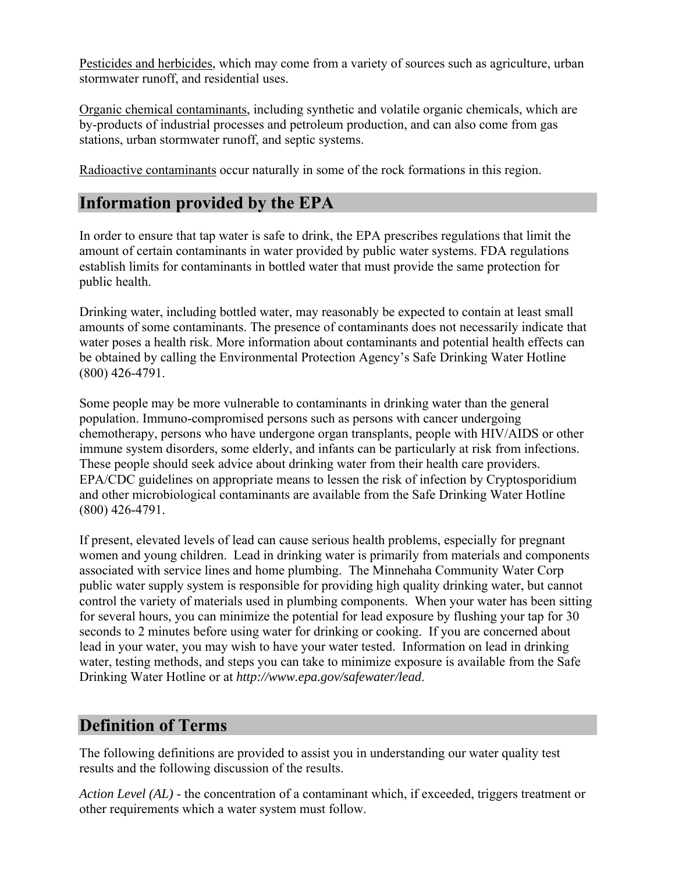Pesticides and herbicides, which may come from a variety of sources such as agriculture, urban stormwater runoff, and residential uses.

Organic chemical contaminants, including synthetic and volatile organic chemicals, which are by-products of industrial processes and petroleum production, and can also come from gas stations, urban stormwater runoff, and septic systems.

Radioactive contaminants occur naturally in some of the rock formations in this region.

## **Information provided by the EPA**

In order to ensure that tap water is safe to drink, the EPA prescribes regulations that limit the amount of certain contaminants in water provided by public water systems. FDA regulations establish limits for contaminants in bottled water that must provide the same protection for public health.

Drinking water, including bottled water, may reasonably be expected to contain at least small amounts of some contaminants. The presence of contaminants does not necessarily indicate that water poses a health risk. More information about contaminants and potential health effects can be obtained by calling the Environmental Protection Agency's Safe Drinking Water Hotline (800) 426-4791.

Some people may be more vulnerable to contaminants in drinking water than the general population. Immuno-compromised persons such as persons with cancer undergoing chemotherapy, persons who have undergone organ transplants, people with HIV/AIDS or other immune system disorders, some elderly, and infants can be particularly at risk from infections. These people should seek advice about drinking water from their health care providers. EPA/CDC guidelines on appropriate means to lessen the risk of infection by Cryptosporidium and other microbiological contaminants are available from the Safe Drinking Water Hotline (800) 426-4791.

If present, elevated levels of lead can cause serious health problems, especially for pregnant women and young children. Lead in drinking water is primarily from materials and components associated with service lines and home plumbing. The Minnehaha Community Water Corp public water supply system is responsible for providing high quality drinking water, but cannot control the variety of materials used in plumbing components. When your water has been sitting for several hours, you can minimize the potential for lead exposure by flushing your tap for 30 seconds to 2 minutes before using water for drinking or cooking. If you are concerned about lead in your water, you may wish to have your water tested. Information on lead in drinking water, testing methods, and steps you can take to minimize exposure is available from the Safe Drinking Water Hotline or at *http://www.epa.gov/safewater/lead*.

## **Definition of Terms**

The following definitions are provided to assist you in understanding our water quality test results and the following discussion of the results.

*Action Level (AL)* - the concentration of a contaminant which, if exceeded, triggers treatment or other requirements which a water system must follow.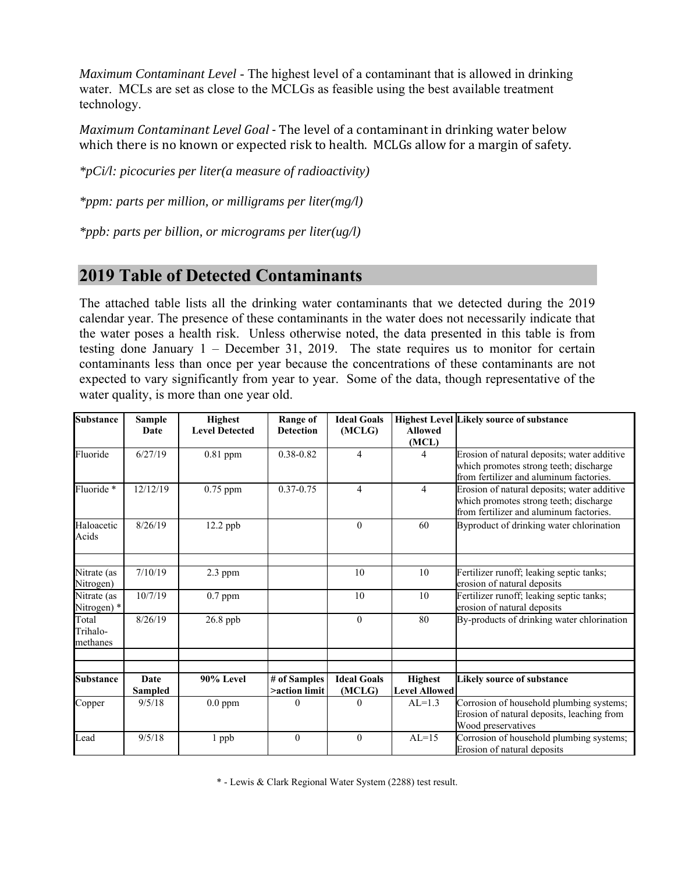*Maximum Contaminant Level* - The highest level of a contaminant that is allowed in drinking water. MCLs are set as close to the MCLGs as feasible using the best available treatment technology.

*Maximum Contaminant Level Goal* - The level of a contaminant in drinking water below which there is no known or expected risk to health. MCLGs allow for a margin of safety.

*\*pCi/l: picocuries per liter(a measure of radioactivity)* 

*\*ppm: parts per million, or milligrams per liter(mg/l)* 

*\*ppb: parts per billion, or micrograms per liter(ug/l)* 

### **2019 Table of Detected Contaminants**

The attached table lists all the drinking water contaminants that we detected during the 2019 calendar year. The presence of these contaminants in the water does not necessarily indicate that the water poses a health risk. Unless otherwise noted, the data presented in this table is from testing done January 1 – December 31, 2019. The state requires us to monitor for certain contaminants less than once per year because the concentrations of these contaminants are not expected to vary significantly from year to year. Some of the data, though representative of the water quality, is more than one year old.

| <b>Substance</b>              | <b>Sample</b><br>Date | <b>Highest</b><br><b>Level Detected</b> | Range of<br><b>Detection</b>  | <b>Ideal Goals</b><br>(MCLG) | <b>Allowed</b><br>(MCL)                | <b>Highest Level Likely source of substance</b>                                                                                  |
|-------------------------------|-----------------------|-----------------------------------------|-------------------------------|------------------------------|----------------------------------------|----------------------------------------------------------------------------------------------------------------------------------|
| Fluoride                      | 6/27/19               | $0.81$ ppm                              | 0.38-0.82                     | 4                            | 4                                      | Erosion of natural deposits; water additive<br>which promotes strong teeth; discharge<br>from fertilizer and aluminum factories. |
| Fluoride*                     | 12/12/19              | 0.75 ppm                                | $0.37 - 0.75$                 | 4                            | $\overline{4}$                         | Erosion of natural deposits; water additive<br>which promotes strong teeth; discharge<br>from fertilizer and aluminum factories. |
| Haloacetic<br>Acids           | 8/26/19               | $12.2$ ppb                              |                               | $\Omega$                     | 60                                     | Byproduct of drinking water chlorination                                                                                         |
| Nitrate (as<br>Nitrogen)      | 7/10/19               | $2.3$ ppm                               |                               | 10                           | 10                                     | Fertilizer runoff; leaking septic tanks;<br>erosion of natural deposits                                                          |
| Nitrate (as<br>Nitrogen) *    | 10/7/19               | $0.7$ ppm                               |                               | 10                           | 10                                     | Fertilizer runoff; leaking septic tanks;<br>erosion of natural deposits                                                          |
| Total<br>Trihalo-<br>methanes | 8/26/19               | 26.8 ppb                                |                               | $\overline{0}$               | 80                                     | By-products of drinking water chlorination                                                                                       |
|                               |                       |                                         |                               |                              |                                        |                                                                                                                                  |
| <b>Substance</b>              | Date<br>Sampled       | 90% Level                               | # of Samples<br>>action limit | <b>Ideal Goals</b><br>(MCLG) | <b>Highest</b><br><b>Level Allowed</b> | <b>Likely source of substance</b>                                                                                                |
| Copper                        | 9/5/18                | $0.0$ ppm                               | $\theta$                      | $\theta$                     | $AL=1.3$                               | Corrosion of household plumbing systems;<br>Erosion of natural deposits, leaching from<br>Wood preservatives                     |
| Lead                          | 9/5/18                | 1 ppb                                   | $\mathbf{0}$                  | $\overline{0}$               | $AL=15$                                | Corrosion of household plumbing systems;<br>Erosion of natural deposits                                                          |

\* - Lewis & Clark Regional Water System (2288) test result.